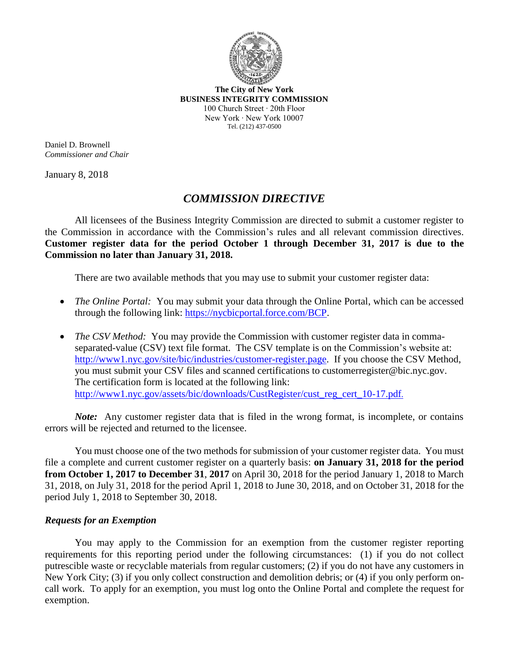

**The City of New York BUSINESS INTEGRITY COMMISSION** 100 Church Street ∙ 20th Floor New York ∙ New York 10007 Tel. (212) 437-0500

Daniel D. Brownell *Commissioner and Chair*

January 8, 2018

## *COMMISSION DIRECTIVE*

All licensees of the Business Integrity Commission are directed to submit a customer register to the Commission in accordance with the Commission's rules and all relevant commission directives. **Customer register data for the period October 1 through December 31, 2017 is due to the Commission no later than January 31, 2018.**

There are two available methods that you may use to submit your customer register data:

- *The Online Portal:* You may submit your data through the Online Portal, which can be accessed through the following link: [https://nycbicportal.force.com/BCP.](https://nycbicportal.force.com/BCP)
- *The CSV Method:* You may provide the Commission with customer register data in commaseparated-value (CSV) text file format. The CSV template is on the Commission's website at: http://www1.nyc.gov/site/bic/industries/customer-register.page. If you choose the CSV Method, you must submit your CSV files and scanned certifications to customerregister@bic.nyc.gov. The certification form is located at the following link: http://www1.nyc.gov/assets/bic/downloads/CustRegister/cust\_reg\_cert\_10-17.pdf.

*Note:* Any customer register data that is filed in the wrong format, is incomplete, or contains errors will be rejected and returned to the licensee.

You must choose one of the two methods for submission of your customer register data. You must file a complete and current customer register on a quarterly basis: **on January 31, 2018 for the period from October 1, 2017 to December 31**, **2017** on April 30, 2018 for the period January 1, 2018 to March 31, 2018, on July 31, 2018 for the period April 1, 2018 to June 30, 2018, and on October 31, 2018 for the period July 1, 2018 to September 30, 2018.

## *Requests for an Exemption*

You may apply to the Commission for an exemption from the customer register reporting requirements for this reporting period under the following circumstances: (1) if you do not collect putrescible waste or recyclable materials from regular customers; (2) if you do not have any customers in New York City; (3) if you only collect construction and demolition debris; or (4) if you only perform oncall work. To apply for an exemption, you must log onto the Online Portal and complete the request for exemption.